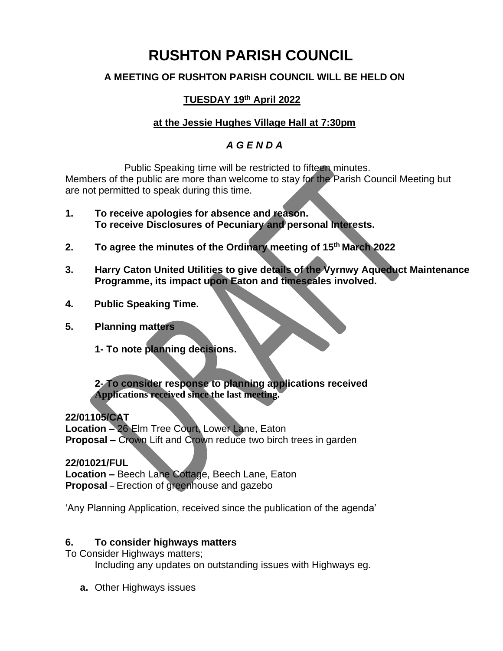# **RUSHTON PARISH COUNCIL**

### **A MEETING OF RUSHTON PARISH COUNCIL WILL BE HELD ON**

## **TUESDAY 19 th April 2022**

## **at the Jessie Hughes Village Hall at 7:30pm**

### *A G E N D A*

Public Speaking time will be restricted to fifteen minutes. Members of the public are more than welcome to stay for the Parish Council Meeting but are not permitted to speak during this time.

- **1. To receive apologies for absence and reason. To receive Disclosures of Pecuniary and personal Interests.**
- **2. To agree the minutes of the Ordinary meeting of 15 th March 2022**
- **3. Harry Caton United Utilities to give details of the Vyrnwy Aqueduct Maintenance Programme, its impact upon Eaton and timescales involved.**
- **4. Public Speaking Time.**
- **5. Planning matters**
	- **1- To note planning decisions.**

**2- To consider response to planning applications received Applications received since the last meeting.**

**22/01105/CAT Location –** 26 Elm Tree Court, Lower Lane, Eaton **Proposal –** Crown Lift and Crown reduce two birch trees in garden

**22/01021/FUL Location –** Beech Lane Cottage, Beech Lane, Eaton **Proposal** – Erection of greenhouse and gazebo

'Any Planning Application, received since the publication of the agenda'

#### **6. To consider highways matters**

To Consider Highways matters;

Including any updates on outstanding issues with Highways eg.

**a.** Other Highways issues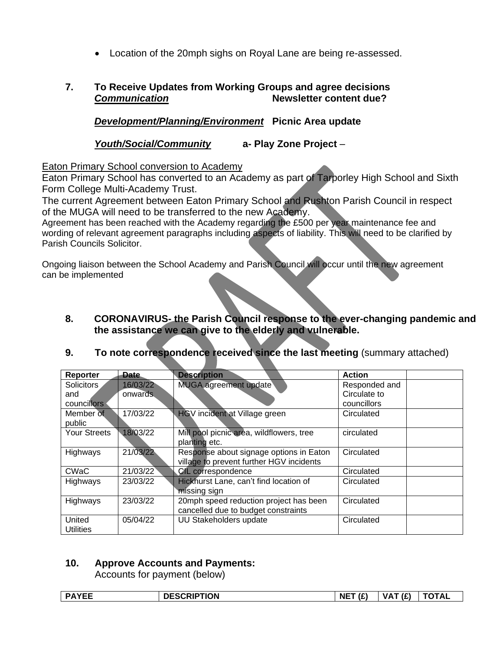• Location of the 20mph sighs on Royal Lane are being re-assessed.

### **7. To Receive Updates from Working Groups and agree decisions** *Communication* **Newsletter content due?**

*Development/Planning/Environment* **Picnic Area update**

*Youth/Social/Community* **a- Play Zone Project** –

Eaton Primary School conversion to Academy

Eaton Primary School has converted to an Academy as part of Tarporley High School and Sixth Form College Multi-Academy Trust.

The current Agreement between Eaton Primary School and Rushton Parish Council in respect of the MUGA will need to be transferred to the new Academy.

Agreement has been reached with the Academy regarding the £500 per year maintenance fee and wording of relevant agreement paragraphs including aspects of liability. This will need to be clarified by Parish Councils Solicitor.

Ongoing liaison between the School Academy and Parish Council will occur until the new agreement can be implemented

**the assistance we can give to the elderly and vulnerable.**

| Reporter            | Date.    | <b>Description</b>                       | <b>Action</b> |  |  |  |
|---------------------|----------|------------------------------------------|---------------|--|--|--|
| <b>Solicitors</b>   | 16/03/22 | MUGA agreement update                    | Responded and |  |  |  |
| and                 | onwards  |                                          | Circulate to  |  |  |  |
| councillors         |          |                                          | councillors   |  |  |  |
| Member of           | 17/03/22 | HGV incident at Village green            | Circulated    |  |  |  |
| public              |          |                                          |               |  |  |  |
| <b>Your Streets</b> | 18/03/22 | Mill pool picnic area, wildflowers, tree | circulated    |  |  |  |
|                     |          | planting etc.                            |               |  |  |  |
| Highways            | 21/03/22 | Response about signage options in Eaton  | Circulated    |  |  |  |
|                     |          | village to prevent further HGV incidents |               |  |  |  |
| <b>CWaC</b>         | 21/03/22 | <b>CIL</b> correspondence                | Circulated    |  |  |  |
| Highways            | 23/03/22 | Hickhurst Lane, can't find location of   | Circulated    |  |  |  |
|                     |          | missing sign                             |               |  |  |  |
| Highways            | 23/03/22 | 20mph speed reduction project has been   | Circulated    |  |  |  |
|                     |          | cancelled due to budget constraints      |               |  |  |  |
| United              | 05/04/22 | <b>UU Stakeholders update</b>            | Circulated    |  |  |  |
| <b>Utilities</b>    |          |                                          |               |  |  |  |

**9. To note correspondence received since the last meeting** (summary attached)

**8. CORONAVIRUS- the Parish Council response to the ever-changing pandemic and** 

## **10. Approve Accounts and Payments:**

Accounts for payment (below)

| <b>ESCRIPTION</b><br><b>DAVEE</b><br>DEJUNIF | NET(f) | $\sqrt{2}$<br>VΔ<br> | ΤΟΤΑL |
|----------------------------------------------|--------|----------------------|-------|
|----------------------------------------------|--------|----------------------|-------|